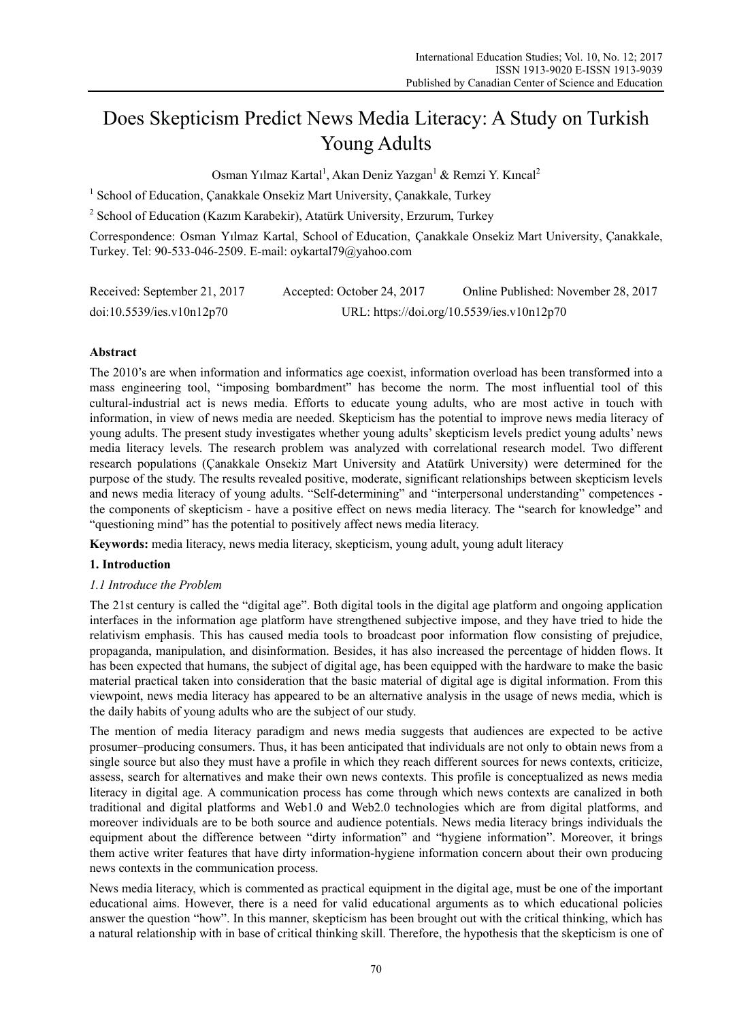# Does Skepticism Predict News Media Literacy: A Study on Turkish Young Adults

Osman Yılmaz Kartal<sup>1</sup>, Akan Deniz Yazgan<sup>1</sup> & Remzi Y. Kıncal<sup>2</sup>

<sup>1</sup> School of Education, Çanakkale Onsekiz Mart University, Çanakkale, Turkey

<sup>2</sup> School of Education (Kazım Karabekir), Atatürk University, Erzurum, Turkey

Correspondence: Osman Yılmaz Kartal, School of Education, Çanakkale Onsekiz Mart University, Çanakkale, Turkey. Tel: 90-533-046-2509. E-mail: oykartal79@yahoo.com

| Received: September 21, 2017 | Accepted: October 24, 2017                 | Online Published: November 28, 2017 |
|------------------------------|--------------------------------------------|-------------------------------------|
| doi:10.5539/ies.v10n12p70    | URL: https://doi.org/10.5539/ies.v10n12p70 |                                     |

## **Abstract**

The 2010's are when information and informatics age coexist, information overload has been transformed into a mass engineering tool, "imposing bombardment" has become the norm. The most influential tool of this cultural-industrial act is news media. Efforts to educate young adults, who are most active in touch with information, in view of news media are needed. Skepticism has the potential to improve news media literacy of young adults. The present study investigates whether young adults' skepticism levels predict young adults' news media literacy levels. The research problem was analyzed with correlational research model. Two different research populations (Çanakkale Onsekiz Mart University and Atatürk University) were determined for the purpose of the study. The results revealed positive, moderate, significant relationships between skepticism levels and news media literacy of young adults. "Self-determining" and "interpersonal understanding" competences the components of skepticism - have a positive effect on news media literacy. The "search for knowledge" and "questioning mind" has the potential to positively affect news media literacy.

**Keywords:** media literacy, news media literacy, skepticism, young adult, young adult literacy

## **1. Introduction**

## *1.1 Introduce the Problem*

The 21st century is called the "digital age". Both digital tools in the digital age platform and ongoing application interfaces in the information age platform have strengthened subjective impose, and they have tried to hide the relativism emphasis. This has caused media tools to broadcast poor information flow consisting of prejudice, propaganda, manipulation, and disinformation. Besides, it has also increased the percentage of hidden flows. It has been expected that humans, the subject of digital age, has been equipped with the hardware to make the basic material practical taken into consideration that the basic material of digital age is digital information. From this viewpoint, news media literacy has appeared to be an alternative analysis in the usage of news media, which is the daily habits of young adults who are the subject of our study.

The mention of media literacy paradigm and news media suggests that audiences are expected to be active prosumer–producing consumers. Thus, it has been anticipated that individuals are not only to obtain news from a single source but also they must have a profile in which they reach different sources for news contexts, criticize, assess, search for alternatives and make their own news contexts. This profile is conceptualized as news media literacy in digital age. A communication process has come through which news contexts are canalized in both traditional and digital platforms and Web1.0 and Web2.0 technologies which are from digital platforms, and moreover individuals are to be both source and audience potentials. News media literacy brings individuals the equipment about the difference between "dirty information" and "hygiene information". Moreover, it brings them active writer features that have dirty information-hygiene information concern about their own producing news contexts in the communication process.

News media literacy, which is commented as practical equipment in the digital age, must be one of the important educational aims. However, there is a need for valid educational arguments as to which educational policies answer the question "how". In this manner, skepticism has been brought out with the critical thinking, which has a natural relationship with in base of critical thinking skill. Therefore, the hypothesis that the skepticism is one of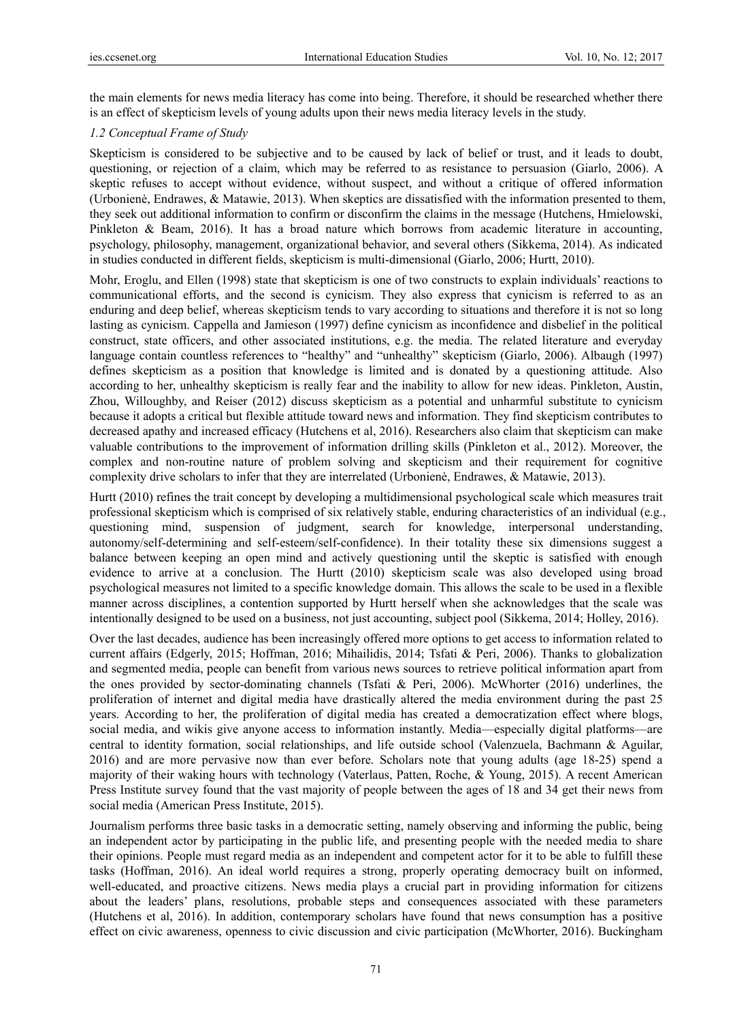the main elements for news media literacy has come into being. Therefore, it should be researched whether there is an effect of skepticism levels of young adults upon their news media literacy levels in the study.

## *1.2 Conceptual Frame of Study*

Skepticism is considered to be subjective and to be caused by lack of belief or trust, and it leads to doubt, questioning, or rejection of a claim, which may be referred to as resistance to persuasion (Giarlo, 2006). A skeptic refuses to accept without evidence, without suspect, and without a critique of offered information (Urbonienė, Endrawes, & Matawie, 2013). When skeptics are dissatisfied with the information presented to them, they seek out additional information to confirm or disconfirm the claims in the message (Hutchens, Hmielowski, Pinkleton & Beam, 2016). It has a broad nature which borrows from academic literature in accounting, psychology, philosophy, management, organizational behavior, and several others (Sikkema, 2014). As indicated in studies conducted in different fields, skepticism is multi-dimensional (Giarlo, 2006; Hurtt, 2010).

Mohr, Eroglu, and Ellen (1998) state that skepticism is one of two constructs to explain individuals' reactions to communicational efforts, and the second is cynicism. They also express that cynicism is referred to as an enduring and deep belief, whereas skepticism tends to vary according to situations and therefore it is not so long lasting as cynicism. Cappella and Jamieson (1997) define cynicism as inconfidence and disbelief in the political construct, state officers, and other associated institutions, e.g. the media. The related literature and everyday language contain countless references to "healthy" and "unhealthy" skepticism (Giarlo, 2006). Albaugh (1997) defines skepticism as a position that knowledge is limited and is donated by a questioning attitude. Also according to her, unhealthy skepticism is really fear and the inability to allow for new ideas. Pinkleton, Austin, Zhou, Willoughby, and Reiser (2012) discuss skepticism as a potential and unharmful substitute to cynicism because it adopts a critical but flexible attitude toward news and information. They find skepticism contributes to decreased apathy and increased efficacy (Hutchens et al, 2016). Researchers also claim that skepticism can make valuable contributions to the improvement of information drilling skills (Pinkleton et al., 2012). Moreover, the complex and non-routine nature of problem solving and skepticism and their requirement for cognitive complexity drive scholars to infer that they are interrelated (Urbonienė, Endrawes, & Matawie, 2013).

Hurtt (2010) refines the trait concept by developing a multidimensional psychological scale which measures trait professional skepticism which is comprised of six relatively stable, enduring characteristics of an individual (e.g., questioning mind, suspension of judgment, search for knowledge, interpersonal understanding, autonomy/self-determining and self-esteem/self-confidence). In their totality these six dimensions suggest a balance between keeping an open mind and actively questioning until the skeptic is satisfied with enough evidence to arrive at a conclusion. The Hurtt (2010) skepticism scale was also developed using broad psychological measures not limited to a specific knowledge domain. This allows the scale to be used in a flexible manner across disciplines, a contention supported by Hurtt herself when she acknowledges that the scale was intentionally designed to be used on a business, not just accounting, subject pool (Sikkema, 2014; Holley, 2016).

Over the last decades, audience has been increasingly offered more options to get access to information related to current affairs (Edgerly, 2015; Hoffman, 2016; Mihailidis, 2014; Tsfati & Peri, 2006). Thanks to globalization and segmented media, people can benefit from various news sources to retrieve political information apart from the ones provided by sector-dominating channels (Tsfati & Peri, 2006). McWhorter (2016) underlines, the proliferation of internet and digital media have drastically altered the media environment during the past 25 years. According to her, the proliferation of digital media has created a democratization effect where blogs, social media, and wikis give anyone access to information instantly. Media—especially digital platforms—are central to identity formation, social relationships, and life outside school (Valenzuela, Bachmann & Aguilar, 2016) and are more pervasive now than ever before. Scholars note that young adults (age 18-25) spend a majority of their waking hours with technology (Vaterlaus, Patten, Roche, & Young, 2015). A recent American Press Institute survey found that the vast majority of people between the ages of 18 and 34 get their news from social media (American Press Institute, 2015).

Journalism performs three basic tasks in a democratic setting, namely observing and informing the public, being an independent actor by participating in the public life, and presenting people with the needed media to share their opinions. People must regard media as an independent and competent actor for it to be able to fulfill these tasks (Hoffman, 2016). An ideal world requires a strong, properly operating democracy built on informed, well-educated, and proactive citizens. News media plays a crucial part in providing information for citizens about the leaders' plans, resolutions, probable steps and consequences associated with these parameters (Hutchens et al, 2016). In addition, contemporary scholars have found that news consumption has a positive effect on civic awareness, openness to civic discussion and civic participation (McWhorter, 2016). Buckingham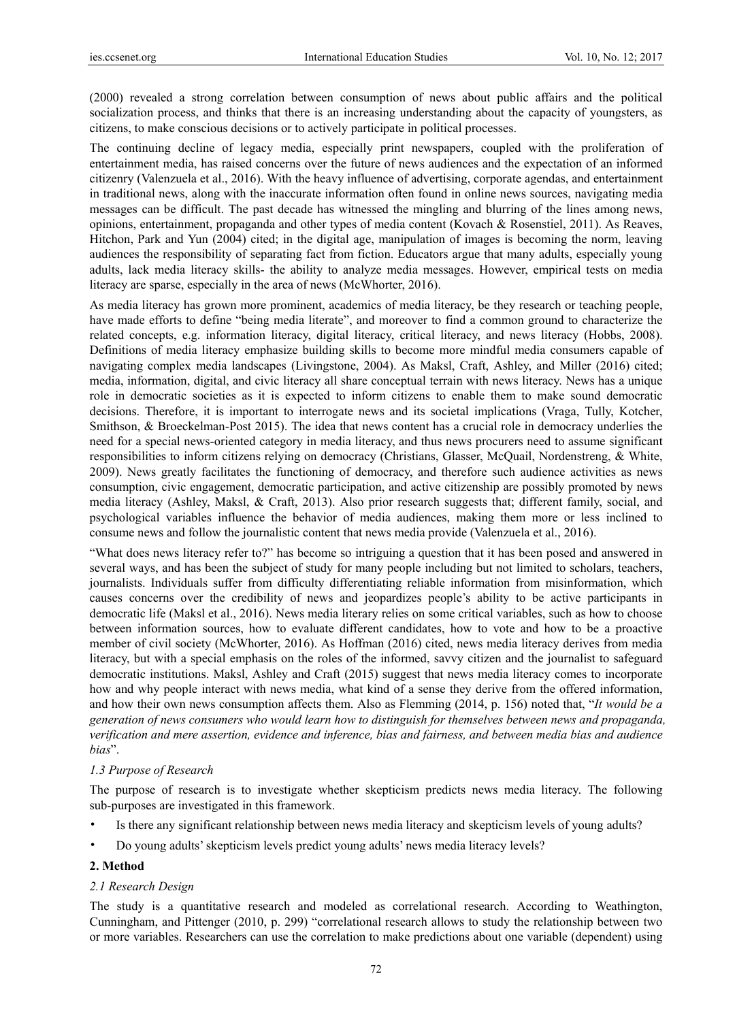(2000) revealed a strong correlation between consumption of news about public affairs and the political socialization process, and thinks that there is an increasing understanding about the capacity of youngsters, as citizens, to make conscious decisions or to actively participate in political processes.

The continuing decline of legacy media, especially print newspapers, coupled with the proliferation of entertainment media, has raised concerns over the future of news audiences and the expectation of an informed citizenry (Valenzuela et al., 2016). With the heavy influence of advertising, corporate agendas, and entertainment in traditional news, along with the inaccurate information often found in online news sources, navigating media messages can be difficult. The past decade has witnessed the mingling and blurring of the lines among news, opinions, entertainment, propaganda and other types of media content (Kovach & Rosenstiel, 2011). As Reaves, Hitchon, Park and Yun (2004) cited; in the digital age, manipulation of images is becoming the norm, leaving audiences the responsibility of separating fact from fiction. Educators argue that many adults, especially young adults, lack media literacy skills- the ability to analyze media messages. However, empirical tests on media literacy are sparse, especially in the area of news (McWhorter, 2016).

As media literacy has grown more prominent, academics of media literacy, be they research or teaching people, have made efforts to define "being media literate", and moreover to find a common ground to characterize the related concepts, e.g. information literacy, digital literacy, critical literacy, and news literacy (Hobbs, 2008). Definitions of media literacy emphasize building skills to become more mindful media consumers capable of navigating complex media landscapes (Livingstone, 2004). As Maksl, Craft, Ashley, and Miller (2016) cited; media, information, digital, and civic literacy all share conceptual terrain with news literacy. News has a unique role in democratic societies as it is expected to inform citizens to enable them to make sound democratic decisions. Therefore, it is important to interrogate news and its societal implications (Vraga, Tully, Kotcher, Smithson, & Broeckelman-Post 2015). The idea that news content has a crucial role in democracy underlies the need for a special news-oriented category in media literacy, and thus news procurers need to assume significant responsibilities to inform citizens relying on democracy (Christians, Glasser, McQuail, Nordenstreng, & White, 2009). News greatly facilitates the functioning of democracy, and therefore such audience activities as news consumption, civic engagement, democratic participation, and active citizenship are possibly promoted by news media literacy (Ashley, Maksl, & Craft, 2013). Also prior research suggests that; different family, social, and psychological variables influence the behavior of media audiences, making them more or less inclined to consume news and follow the journalistic content that news media provide (Valenzuela et al., 2016).

"What does news literacy refer to?" has become so intriguing a question that it has been posed and answered in several ways, and has been the subject of study for many people including but not limited to scholars, teachers, journalists. Individuals suffer from difficulty differentiating reliable information from misinformation, which causes concerns over the credibility of news and jeopardizes people's ability to be active participants in democratic life (Maksl et al., 2016). News media literary relies on some critical variables, such as how to choose between information sources, how to evaluate different candidates, how to vote and how to be a proactive member of civil society (McWhorter, 2016). As Hoffman (2016) cited, news media literacy derives from media literacy, but with a special emphasis on the roles of the informed, savvy citizen and the journalist to safeguard democratic institutions. Maksl, Ashley and Craft (2015) suggest that news media literacy comes to incorporate how and why people interact with news media, what kind of a sense they derive from the offered information, and how their own news consumption affects them. Also as Flemming (2014, p. 156) noted that, "*It would be a generation of news consumers who would learn how to distinguish for themselves between news and propaganda, verification and mere assertion, evidence and inference, bias and fairness, and between media bias and audience bias*".

## *1.3 Purpose of Research*

The purpose of research is to investigate whether skepticism predicts news media literacy. The following sub-purposes are investigated in this framework.

- Is there any significant relationship between news media literacy and skepticism levels of young adults?
- Do young adults' skepticism levels predict young adults' news media literacy levels?

## **2. Method**

## *2.1 Research Design*

The study is a quantitative research and modeled as correlational research. According to Weathington, Cunningham, and Pittenger (2010, p. 299) "correlational research allows to study the relationship between two or more variables. Researchers can use the correlation to make predictions about one variable (dependent) using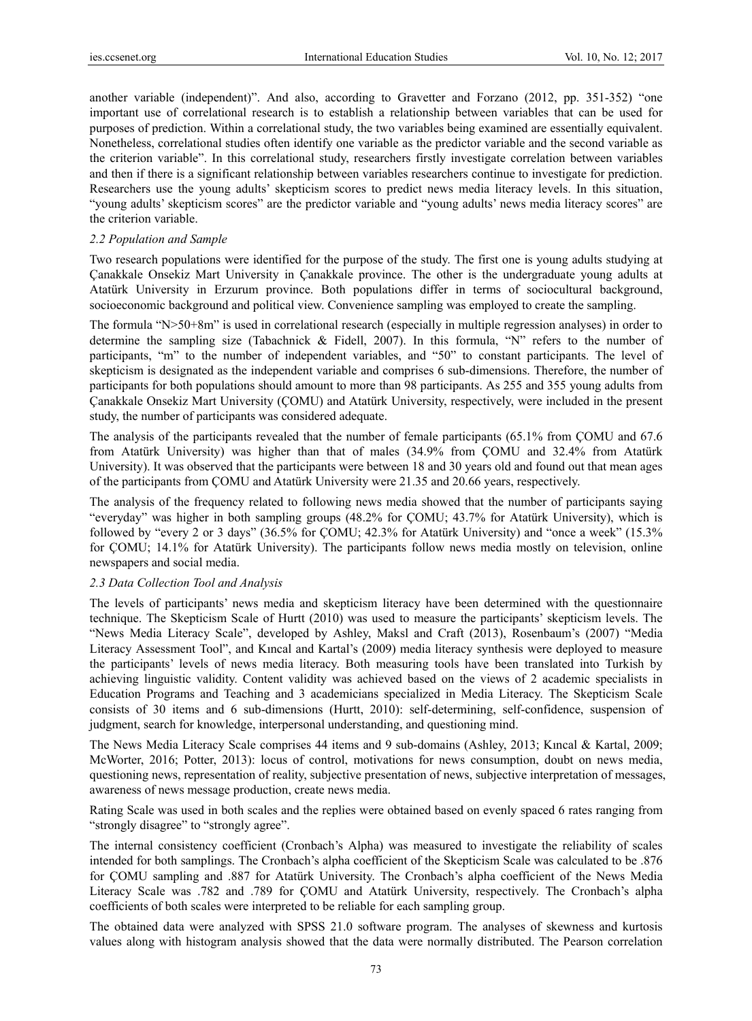another variable (independent)". And also, according to Gravetter and Forzano (2012, pp. 351-352) "one important use of correlational research is to establish a relationship between variables that can be used for purposes of prediction. Within a correlational study, the two variables being examined are essentially equivalent. Nonetheless, correlational studies often identify one variable as the predictor variable and the second variable as the criterion variable". In this correlational study, researchers firstly investigate correlation between variables and then if there is a significant relationship between variables researchers continue to investigate for prediction. Researchers use the young adults' skepticism scores to predict news media literacy levels. In this situation, "young adults' skepticism scores" are the predictor variable and "young adults' news media literacy scores" are the criterion variable.

#### *2.2 Population and Sample*

Two research populations were identified for the purpose of the study. The first one is young adults studying at Çanakkale Onsekiz Mart University in Çanakkale province. The other is the undergraduate young adults at Atatürk University in Erzurum province. Both populations differ in terms of sociocultural background, socioeconomic background and political view. Convenience sampling was employed to create the sampling.

The formula "N>50+8m" is used in correlational research (especially in multiple regression analyses) in order to determine the sampling size (Tabachnick & Fidell, 2007). In this formula, "N" refers to the number of participants, "m" to the number of independent variables, and "50" to constant participants. The level of skepticism is designated as the independent variable and comprises 6 sub-dimensions. Therefore, the number of participants for both populations should amount to more than 98 participants. As 255 and 355 young adults from Çanakkale Onsekiz Mart University (ÇOMU) and Atatürk University, respectively, were included in the present study, the number of participants was considered adequate.

The analysis of the participants revealed that the number of female participants (65.1% from ÇOMU and 67.6 from Atatürk University) was higher than that of males (34.9% from ÇOMU and 32.4% from Atatürk University). It was observed that the participants were between 18 and 30 years old and found out that mean ages of the participants from ÇOMU and Atatürk University were 21.35 and 20.66 years, respectively.

The analysis of the frequency related to following news media showed that the number of participants saying "everyday" was higher in both sampling groups (48.2% for ÇOMU; 43.7% for Atatürk University), which is followed by "every 2 or 3 days" (36.5% for ÇOMU; 42.3% for Atatürk University) and "once a week" (15.3% for ÇOMU; 14.1% for Atatürk University). The participants follow news media mostly on television, online newspapers and social media.

## *2.3 Data Collection Tool and Analysis*

The levels of participants' news media and skepticism literacy have been determined with the questionnaire technique. The Skepticism Scale of Hurtt (2010) was used to measure the participants' skepticism levels. The "News Media Literacy Scale", developed by Ashley, Maksl and Craft (2013), Rosenbaum's (2007) "Media Literacy Assessment Tool", and Kıncal and Kartal's (2009) media literacy synthesis were deployed to measure the participants' levels of news media literacy. Both measuring tools have been translated into Turkish by achieving linguistic validity. Content validity was achieved based on the views of 2 academic specialists in Education Programs and Teaching and 3 academicians specialized in Media Literacy. The Skepticism Scale consists of 30 items and 6 sub-dimensions (Hurtt, 2010): self-determining, self-confidence, suspension of judgment, search for knowledge, interpersonal understanding, and questioning mind.

The News Media Literacy Scale comprises 44 items and 9 sub-domains (Ashley, 2013; Kıncal & Kartal, 2009; McWorter, 2016; Potter, 2013): locus of control, motivations for news consumption, doubt on news media, questioning news, representation of reality, subjective presentation of news, subjective interpretation of messages, awareness of news message production, create news media.

Rating Scale was used in both scales and the replies were obtained based on evenly spaced 6 rates ranging from "strongly disagree" to "strongly agree".

The internal consistency coefficient (Cronbach's Alpha) was measured to investigate the reliability of scales intended for both samplings. The Cronbach's alpha coefficient of the Skepticism Scale was calculated to be .876 for ÇOMU sampling and .887 for Atatürk University. The Cronbach's alpha coefficient of the News Media Literacy Scale was .782 and .789 for ÇOMU and Atatürk University, respectively. The Cronbach's alpha coefficients of both scales were interpreted to be reliable for each sampling group.

The obtained data were analyzed with SPSS 21.0 software program. The analyses of skewness and kurtosis values along with histogram analysis showed that the data were normally distributed. The Pearson correlation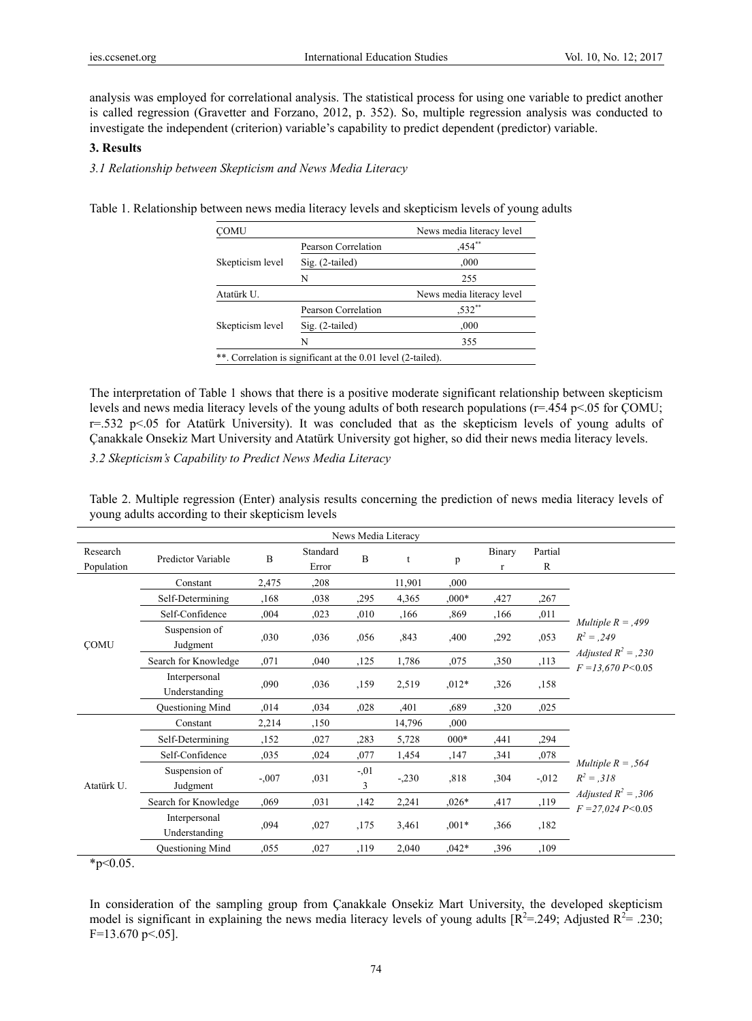analysis was employed for correlational analysis. The statistical process for using one variable to predict another is called regression (Gravetter and Forzano, 2012, p. 352). So, multiple regression analysis was conducted to investigate the independent (criterion) variable's capability to predict dependent (predictor) variable.

## **3. Results**

*3.1 Relationship between Skepticism and News Media Literacy*

Table 1. Relationship between news media literacy levels and skepticism levels of young adults

| COMU             |                     | News media literacy level |  |  |  |
|------------------|---------------------|---------------------------|--|--|--|
|                  | Pearson Correlation | $,454$ **                 |  |  |  |
| Skepticism level | $Sig. (2-tailed)$   | .000                      |  |  |  |
|                  | N                   | 255                       |  |  |  |
| Atatürk U.       |                     | News media literacy level |  |  |  |
|                  | Pearson Correlation | $.532**$                  |  |  |  |
| Skepticism level | $Sig. (2-tailed)$   | 000.                      |  |  |  |
|                  | N                   | 355                       |  |  |  |

The interpretation of Table 1 shows that there is a positive moderate significant relationship between skepticism levels and news media literacy levels of the young adults of both research populations ( $r=454$  p<.05 for COMU;  $r=0.532$  p<.05 for Atatürk University). It was concluded that as the skepticism levels of young adults of Çanakkale Onsekiz Mart University and Atatürk University got higher, so did their news media literacy levels.

*3.2 Skepticism's Capability to Predict News Media Literacy* 

Table 2. Multiple regression (Enter) analysis results concerning the prediction of news media literacy levels of young adults according to their skepticism levels

| News Media Literacy    |                                |          |                   |                         |             |          |                        |                         |                                                                                          |  |
|------------------------|--------------------------------|----------|-------------------|-------------------------|-------------|----------|------------------------|-------------------------|------------------------------------------------------------------------------------------|--|
| Research<br>Population | Predictor Variable             | $\bf{B}$ | Standard<br>Error | B                       | $\mathbf t$ | p        | Binary<br>$\mathbf{r}$ | Partial<br>$\mathbb{R}$ |                                                                                          |  |
| <b>COMU</b>            | Constant                       | 2,475    | .208              |                         | 11,901      | 000,     |                        |                         | Multiple $R = 0.499$<br>$R^2 = 0.249$<br>Adjusted $R^2 = 0.230$<br>$F = 13,670 P < 0.05$ |  |
|                        | Self-Determining               | ,168     | ,038              | ,295                    | 4,365       | $,000*$  | ,427                   | ,267                    |                                                                                          |  |
|                        | Self-Confidence                | ,004     | ,023              | ,010                    | ,166        | ,869     | ,166                   | ,011                    |                                                                                          |  |
|                        | Suspension of<br>Judgment      | ,030     | ,036              | ,056                    | ,843        | ,400     | ,292                   | ,053                    |                                                                                          |  |
|                        | Search for Knowledge           | ,071     | ,040              | ,125                    | 1,786       | ,075     | ,350                   | ,113                    |                                                                                          |  |
|                        | Interpersonal<br>Understanding | ,090     | ,036              | ,159                    | 2,519       | $,012*$  | ,326                   | ,158                    |                                                                                          |  |
|                        | Questioning Mind               | ,014     | ,034              | ,028                    | ,401        | ,689     | ,320                   | ,025                    |                                                                                          |  |
| Atatürk U.             | Constant                       | 2,214    | ,150              |                         | 14,796      | 000,     |                        |                         | Multiple $R = 0.564$<br>$R^2 = 0.318$<br>Adjusted $R^2 = 0.306$<br>$F = 27,024 P < 0.05$ |  |
|                        | Self-Determining               | ,152     | ,027              | ,283                    | 5,728       | $000*$   | ,441                   | ,294                    |                                                                                          |  |
|                        | Self-Confidence                | ,035     | ,024              | ,077                    | 1,454       | ,147     | ,341                   | ,078                    |                                                                                          |  |
|                        | Suspension of<br>Judgment      | $-.007$  | ,031              | $-0.01$<br>$\mathbf{3}$ | $-230$      | ,818     | ,304                   | $-0.012$                |                                                                                          |  |
|                        | Search for Knowledge           | ,069     | ,031              | ,142                    | 2,241       | $0.026*$ | ,417                   | ,119                    |                                                                                          |  |
|                        | Interpersonal<br>Understanding | ,094     | ,027              | ,175                    | 3,461       | $,001*$  | ,366                   | ,182                    |                                                                                          |  |
|                        | Questioning Mind               | .055     | ,027              | ,119                    | 2,040       | $0.42*$  | .396                   | ,109                    |                                                                                          |  |

 $*p<0.05$ .

In consideration of the sampling group from Çanakkale Onsekiz Mart University, the developed skepticism model is significant in explaining the news media literacy levels of young adults  $[R^2=$  249; Adjusted  $R^2=$  .230;  $F=13.670 \text{ p} < 0.05$ ].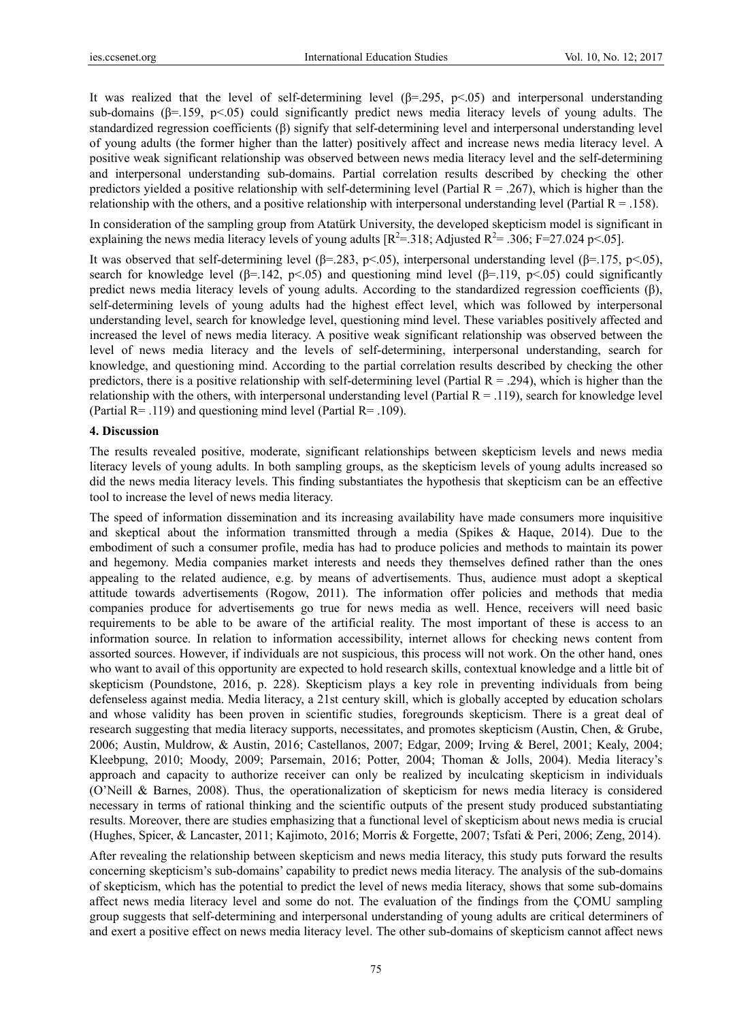It was realized that the level of self-determining level  $(\beta = .295, p < .05)$  and interpersonal understanding sub-domains ( $\beta$ =.159, p<.05) could significantly predict news media literacy levels of young adults. The standardized regression coefficients (β) signify that self-determining level and interpersonal understanding level of young adults (the former higher than the latter) positively affect and increase news media literacy level. A positive weak significant relationship was observed between news media literacy level and the self-determining and interpersonal understanding sub-domains. Partial correlation results described by checking the other predictors yielded a positive relationship with self-determining level (Partial  $R = 0.267$ ), which is higher than the relationship with the others, and a positive relationship with interpersonal understanding level (Partial  $R = .158$ ).

In consideration of the sampling group from Atatürk University, the developed skepticism model is significant in explaining the news media literacy levels of young adults  $[R^2 = .318]$ ; Adjusted  $R^2 = .306$ ; F=27.024 p<.05].

It was observed that self-determining level ( $\beta$ =.283, p<.05), interpersonal understanding level ( $\beta$ =.175, p<.05), search for knowledge level (β=.142, p<.05) and questioning mind level (β=.119, p<.05) could significantly predict news media literacy levels of young adults. According to the standardized regression coefficients (β), self-determining levels of young adults had the highest effect level, which was followed by interpersonal understanding level, search for knowledge level, questioning mind level. These variables positively affected and increased the level of news media literacy. A positive weak significant relationship was observed between the level of news media literacy and the levels of self-determining, interpersonal understanding, search for knowledge, and questioning mind. According to the partial correlation results described by checking the other predictors, there is a positive relationship with self-determining level (Partial  $R = .294$ ), which is higher than the relationship with the others, with interpersonal understanding level (Partial  $R = .119$ ), search for knowledge level (Partial R= .119) and questioning mind level (Partial R= .109).

## **4. Discussion**

The results revealed positive, moderate, significant relationships between skepticism levels and news media literacy levels of young adults. In both sampling groups, as the skepticism levels of young adults increased so did the news media literacy levels. This finding substantiates the hypothesis that skepticism can be an effective tool to increase the level of news media literacy.

The speed of information dissemination and its increasing availability have made consumers more inquisitive and skeptical about the information transmitted through a media (Spikes & Haque, 2014). Due to the embodiment of such a consumer profile, media has had to produce policies and methods to maintain its power and hegemony. Media companies market interests and needs they themselves defined rather than the ones appealing to the related audience, e.g. by means of advertisements. Thus, audience must adopt a skeptical attitude towards advertisements (Rogow, 2011). The information offer policies and methods that media companies produce for advertisements go true for news media as well. Hence, receivers will need basic requirements to be able to be aware of the artificial reality. The most important of these is access to an information source. In relation to information accessibility, internet allows for checking news content from assorted sources. However, if individuals are not suspicious, this process will not work. On the other hand, ones who want to avail of this opportunity are expected to hold research skills, contextual knowledge and a little bit of skepticism (Poundstone, 2016, p. 228). Skepticism plays a key role in preventing individuals from being defenseless against media. Media literacy, a 21st century skill, which is globally accepted by education scholars and whose validity has been proven in scientific studies, foregrounds skepticism. There is a great deal of research suggesting that media literacy supports, necessitates, and promotes skepticism (Austin, Chen, & Grube, 2006; Austin, Muldrow, & Austin, 2016; Castellanos, 2007; Edgar, 2009; Irving & Berel, 2001; Kealy, 2004; Kleebpung, 2010; Moody, 2009; Parsemain, 2016; Potter, 2004; Thoman & Jolls, 2004). Media literacy's approach and capacity to authorize receiver can only be realized by inculcating skepticism in individuals (O'Neill & Barnes, 2008). Thus, the operationalization of skepticism for news media literacy is considered necessary in terms of rational thinking and the scientific outputs of the present study produced substantiating results. Moreover, there are studies emphasizing that a functional level of skepticism about news media is crucial (Hughes, Spicer, & Lancaster, 2011; Kajimoto, 2016; Morris & Forgette, 2007; Tsfati & Peri, 2006; Zeng, 2014).

After revealing the relationship between skepticism and news media literacy, this study puts forward the results concerning skepticism's sub-domains' capability to predict news media literacy. The analysis of the sub-domains of skepticism, which has the potential to predict the level of news media literacy, shows that some sub-domains affect news media literacy level and some do not. The evaluation of the findings from the ÇOMU sampling group suggests that self-determining and interpersonal understanding of young adults are critical determiners of and exert a positive effect on news media literacy level. The other sub-domains of skepticism cannot affect news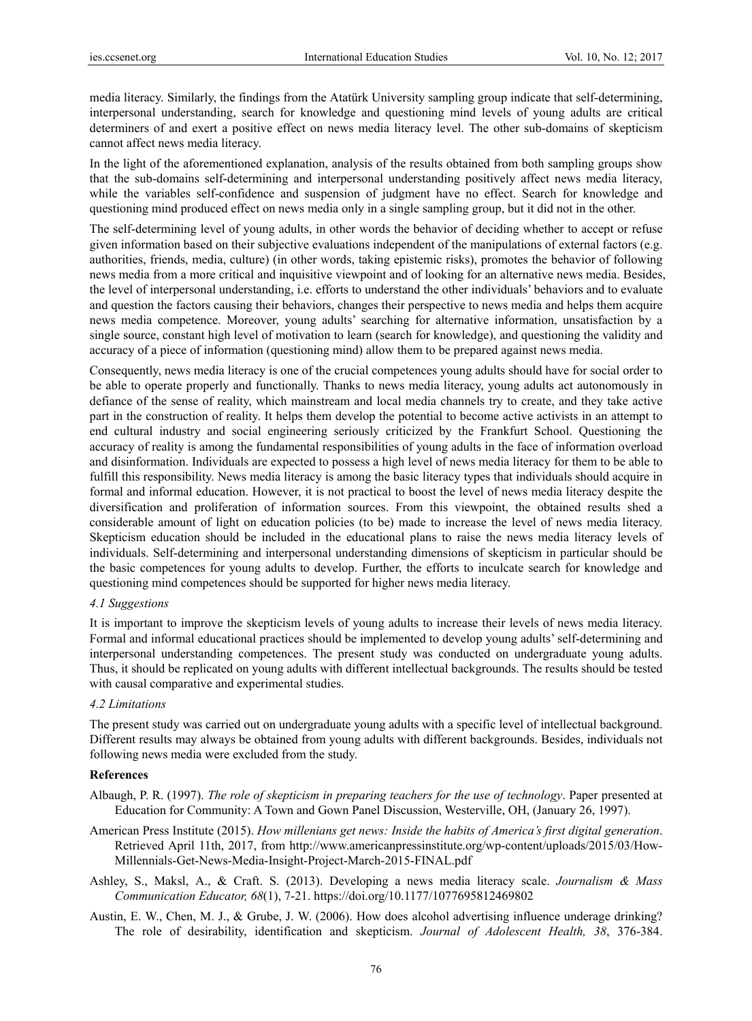media literacy. Similarly, the findings from the Atatürk University sampling group indicate that self-determining, interpersonal understanding, search for knowledge and questioning mind levels of young adults are critical determiners of and exert a positive effect on news media literacy level. The other sub-domains of skepticism cannot affect news media literacy.

In the light of the aforementioned explanation, analysis of the results obtained from both sampling groups show that the sub-domains self-determining and interpersonal understanding positively affect news media literacy, while the variables self-confidence and suspension of judgment have no effect. Search for knowledge and questioning mind produced effect on news media only in a single sampling group, but it did not in the other.

The self-determining level of young adults, in other words the behavior of deciding whether to accept or refuse given information based on their subjective evaluations independent of the manipulations of external factors (e.g. authorities, friends, media, culture) (in other words, taking epistemic risks), promotes the behavior of following news media from a more critical and inquisitive viewpoint and of looking for an alternative news media. Besides, the level of interpersonal understanding, i.e. efforts to understand the other individuals' behaviors and to evaluate and question the factors causing their behaviors, changes their perspective to news media and helps them acquire news media competence. Moreover, young adults' searching for alternative information, unsatisfaction by a single source, constant high level of motivation to learn (search for knowledge), and questioning the validity and accuracy of a piece of information (questioning mind) allow them to be prepared against news media.

Consequently, news media literacy is one of the crucial competences young adults should have for social order to be able to operate properly and functionally. Thanks to news media literacy, young adults act autonomously in defiance of the sense of reality, which mainstream and local media channels try to create, and they take active part in the construction of reality. It helps them develop the potential to become active activists in an attempt to end cultural industry and social engineering seriously criticized by the Frankfurt School. Questioning the accuracy of reality is among the fundamental responsibilities of young adults in the face of information overload and disinformation. Individuals are expected to possess a high level of news media literacy for them to be able to fulfill this responsibility. News media literacy is among the basic literacy types that individuals should acquire in formal and informal education. However, it is not practical to boost the level of news media literacy despite the diversification and proliferation of information sources. From this viewpoint, the obtained results shed a considerable amount of light on education policies (to be) made to increase the level of news media literacy. Skepticism education should be included in the educational plans to raise the news media literacy levels of individuals. Self-determining and interpersonal understanding dimensions of skepticism in particular should be the basic competences for young adults to develop. Further, the efforts to inculcate search for knowledge and questioning mind competences should be supported for higher news media literacy.

## *4.1 Suggestions*

It is important to improve the skepticism levels of young adults to increase their levels of news media literacy. Formal and informal educational practices should be implemented to develop young adults' self-determining and interpersonal understanding competences. The present study was conducted on undergraduate young adults. Thus, it should be replicated on young adults with different intellectual backgrounds. The results should be tested with causal comparative and experimental studies.

#### *4.2 Limitations*

The present study was carried out on undergraduate young adults with a specific level of intellectual background. Different results may always be obtained from young adults with different backgrounds. Besides, individuals not following news media were excluded from the study.

## **References**

- Albaugh, P. R. (1997). *The role of skepticism in preparing teachers for the use of technology*. Paper presented at Education for Community: A Town and Gown Panel Discussion, Westerville, OH, (January 26, 1997).
- American Press Institute (2015). *How millenians get news: Inside the habits of America's first digital generation*. Retrieved April 11th, 2017, from http://www.americanpressinstitute.org/wp-content/uploads/2015/03/How-Millennials-Get-News-Media-Insight-Project-March-2015-FINAL.pdf
- Ashley, S., Maksl, A., & Craft. S. (2013). Developing a news media literacy scale. *Journalism & Mass Communication Educator, 68*(1), 7-21. https://doi.org/10.1177/1077695812469802
- Austin, E. W., Chen, M. J., & Grube, J. W. (2006). How does alcohol advertising influence underage drinking? The role of desirability, identification and skepticism. *Journal of Adolescent Health, 38*, 376-384.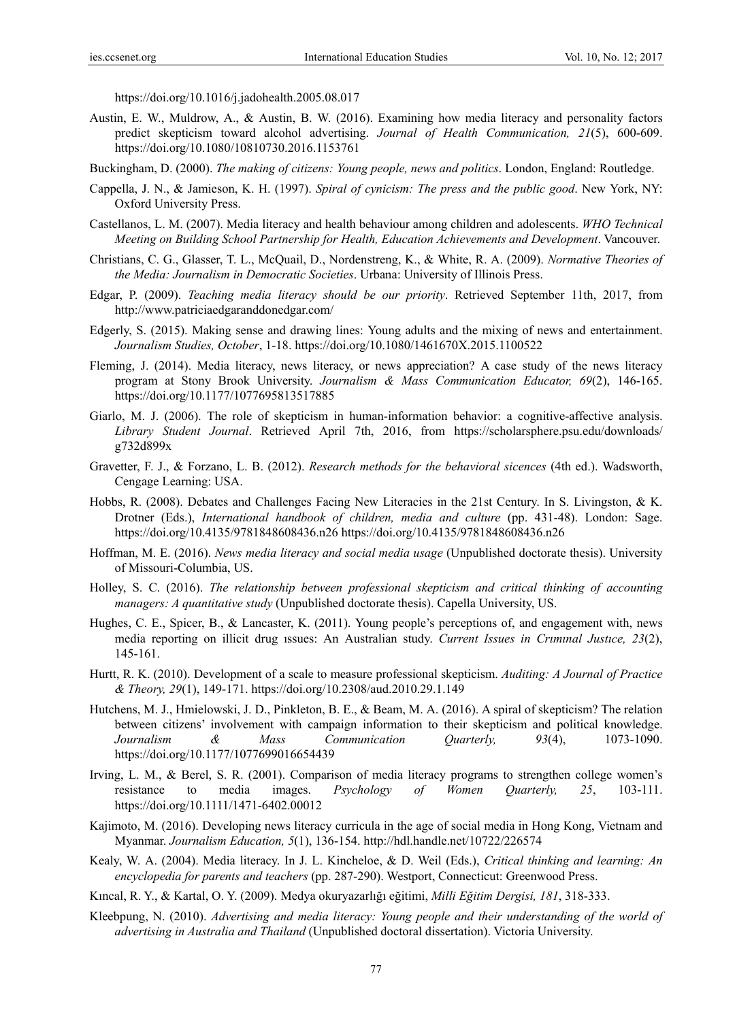https://doi.org/10.1016/j.jadohealth.2005.08.017

Austin, E. W., Muldrow, A., & Austin, B. W. (2016). Examining how media literacy and personality factors predict skepticism toward alcohol advertising. *Journal of Health Communication, 21*(5), 600-609. https://doi.org/10.1080/10810730.2016.1153761

Buckingham, D. (2000). *The making of citizens: Young people, news and politics*. London, England: Routledge.

- Cappella, J. N., & Jamieson, K. H. (1997). *Spiral of cynicism: The press and the public good*. New York, NY: Oxford University Press.
- Castellanos, L. M. (2007). Media literacy and health behaviour among children and adolescents. *WHO Technical Meeting on Building School Partnership for Health, Education Achievements and Development*. Vancouver.
- Christians, C. G., Glasser, T. L., McQuail, D., Nordenstreng, K., & White, R. A. (2009). *Normative Theories of the Media: Journalism in Democratic Societies*. Urbana: University of Illinois Press.
- Edgar, P. (2009). *Teaching media literacy should be our priority*. Retrieved September 11th, 2017, from http://www.patriciaedgaranddonedgar.com/
- Edgerly, S. (2015). Making sense and drawing lines: Young adults and the mixing of news and entertainment. *Journalism Studies, October*, 1-18. https://doi.org/10.1080/1461670X.2015.1100522
- Fleming, J. (2014). Media literacy, news literacy, or news appreciation? A case study of the news literacy program at Stony Brook University. *Journalism & Mass Communication Educator, 69*(2), 146-165. https://doi.org/10.1177/1077695813517885
- Giarlo, M. J. (2006). The role of skepticism in human-information behavior: a cognitive-affective analysis. *Library Student Journal*. Retrieved April 7th, 2016, from https://scholarsphere.psu.edu/downloads/ g732d899x
- Gravetter, F. J., & Forzano, L. B. (2012). *Research methods for the behavioral sicences* (4th ed.). Wadsworth, Cengage Learning: USA.
- Hobbs, R. (2008). Debates and Challenges Facing New Literacies in the 21st Century. In S. Livingston, & K. Drotner (Eds.), *International handbook of children, media and culture* (pp. 431-48). London: Sage. https://doi.org/10.4135/9781848608436.n26 https://doi.org/10.4135/9781848608436.n26
- Hoffman, M. E. (2016). *News media literacy and social media usage* (Unpublished doctorate thesis). University of Missouri-Columbia, US.
- Holley, S. C. (2016). *The relationship between professional skepticism and critical thinking of accounting managers: A quantitative study* (Unpublished doctorate thesis). Capella University, US.
- Hughes, C. E., Spicer, B., & Lancaster, K. (2011). Young people's perceptions of, and engagement with, news media reporting on illicit drug ıssues: An Australian study. *Current Issues in Crımınal Justıce, 23*(2), 145-161.
- Hurtt, R. K. (2010). Development of a scale to measure professional skepticism. *Auditing: A Journal of Practice & Theory, 29*(1), 149-171. https://doi.org/10.2308/aud.2010.29.1.149
- Hutchens, M. J., Hmielowski, J. D., Pinkleton, B. E., & Beam, M. A. (2016). A spiral of skepticism? The relation between citizens' involvement with campaign information to their skepticism and political knowledge. *Journalism & Mass Communication Quarterly, 93*(4), 1073-1090. https://doi.org/10.1177/1077699016654439
- Irving, L. M., & Berel, S. R. (2001). Comparison of media literacy programs to strengthen college women's resistance to media images. *Psychology of Women Quarterly, 25*, 103-111. https://doi.org/10.1111/1471-6402.00012
- Kajimoto, M. (2016). Developing news literacy curricula in the age of social media in Hong Kong, Vietnam and Myanmar. *Journalism Education, 5*(1), 136-154. http://hdl.handle.net/10722/226574
- Kealy, W. A. (2004). Media literacy. In J. L. Kincheloe, & D. Weil (Eds.), *Critical thinking and learning: An encyclopedia for parents and teachers* (pp. 287-290). Westport, Connecticut: Greenwood Press.
- Kıncal, R. Y., & Kartal, O. Y. (2009). Medya okuryazarlığı eğitimi, *Milli Eğitim Dergisi, 181*, 318-333.
- Kleebpung, N. (2010). *Advertising and media literacy: Young people and their understanding of the world of advertising in Australia and Thailand* (Unpublished doctoral dissertation). Victoria University.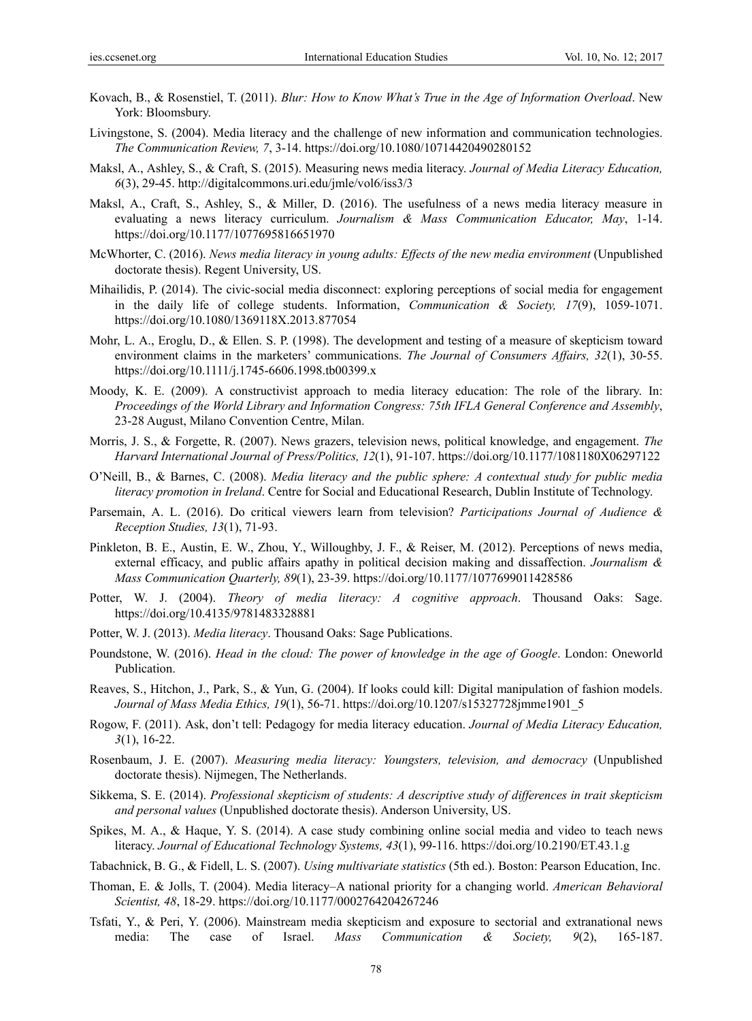- Kovach, B., & Rosenstiel, T. (2011). *Blur: How to Know What's True in the Age of Information Overload*. New York: Bloomsbury.
- Livingstone, S. (2004). Media literacy and the challenge of new information and communication technologies. *The Communication Review, 7*, 3-14. https://doi.org/10.1080/10714420490280152
- Maksl, A., Ashley, S., & Craft, S. (2015). Measuring news media literacy. *Journal of Media Literacy Education, 6*(3), 29-45. http://digitalcommons.uri.edu/jmle/vol6/iss3/3
- Maksl, A., Craft, S., Ashley, S., & Miller, D. (2016). The usefulness of a news media literacy measure in evaluating a news literacy curriculum. *Journalism & Mass Communication Educator, May*, 1-14. https://doi.org/10.1177/1077695816651970
- McWhorter, C. (2016). *News media literacy in young adults: Effects of the new media environment* (Unpublished doctorate thesis). Regent University, US.
- Mihailidis, P. (2014). The civic-social media disconnect: exploring perceptions of social media for engagement in the daily life of college students. Information, *Communication & Society, 17*(9), 1059-1071. https://doi.org/10.1080/1369118X.2013.877054
- Mohr, L. A., Eroglu, D., & Ellen. S. P. (1998). The development and testing of a measure of skepticism toward environment claims in the marketers' communications. *The Journal of Consumers Affairs, 32*(1), 30-55. https://doi.org/10.1111/j.1745-6606.1998.tb00399.x
- Moody, K. E. (2009). A constructivist approach to media literacy education: The role of the library. In: *Proceedings of the World Library and Information Congress: 75th IFLA General Conference and Assembly*, 23-28 August, Milano Convention Centre, Milan.
- Morris, J. S., & Forgette, R. (2007). News grazers, television news, political knowledge, and engagement. *The Harvard International Journal of Press/Politics, 12*(1), 91-107. https://doi.org/10.1177/1081180X06297122
- O'Neill, B., & Barnes, C. (2008). *Media literacy and the public sphere: A contextual study for public media literacy promotion in Ireland*. Centre for Social and Educational Research, Dublin Institute of Technology.
- Parsemain, A. L. (2016). Do critical viewers learn from television? *Participations Journal of Audience & Reception Studies, 13*(1), 71-93.
- Pinkleton, B. E., Austin, E. W., Zhou, Y., Willoughby, J. F., & Reiser, M. (2012). Perceptions of news media, external efficacy, and public affairs apathy in political decision making and dissaffection. *Journalism & Mass Communication Quarterly, 89*(1), 23-39. https://doi.org/10.1177/1077699011428586
- Potter, W. J. (2004). *Theory of media literacy: A cognitive approach*. Thousand Oaks: Sage. https://doi.org/10.4135/9781483328881
- Potter, W. J. (2013). *Media literacy*. Thousand Oaks: Sage Publications.
- Poundstone, W. (2016). *Head in the cloud: The power of knowledge in the age of Google*. London: Oneworld Publication.
- Reaves, S., Hitchon, J., Park, S., & Yun, G. (2004). If looks could kill: Digital manipulation of fashion models. *Journal of Mass Media Ethics, 19*(1), 56-71. https://doi.org/10.1207/s15327728jmme1901\_5
- Rogow, F. (2011). Ask, don't tell: Pedagogy for media literacy education. *Journal of Media Literacy Education, 3*(1), 16-22.
- Rosenbaum, J. E. (2007). *Measuring media literacy: Youngsters, television, and democracy* (Unpublished doctorate thesis). Nijmegen, The Netherlands.
- Sikkema, S. E. (2014). *Professional skepticism of students: A descriptive study of differences in trait skepticism and personal values* (Unpublished doctorate thesis). Anderson University, US.
- Spikes, M. A., & Haque, Y. S. (2014). A case study combining online social media and video to teach news literacy. *Journal of Educational Technology Systems, 43*(1), 99-116. https://doi.org/10.2190/ET.43.1.g
- Tabachnick, B. G., & Fidell, L. S. (2007). *Using multivariate statistics* (5th ed.). Boston: Pearson Education, Inc.
- Thoman, E. & Jolls, T. (2004). Media literacy–A national priority for a changing world. *American Behavioral Scientist, 48*, 18-29. https://doi.org/10.1177/0002764204267246
- Tsfati, Y., & Peri, Y. (2006). Mainstream media skepticism and exposure to sectorial and extranational news media: The case of Israel. *Mass Communication & Society, 9*(2), 165-187.